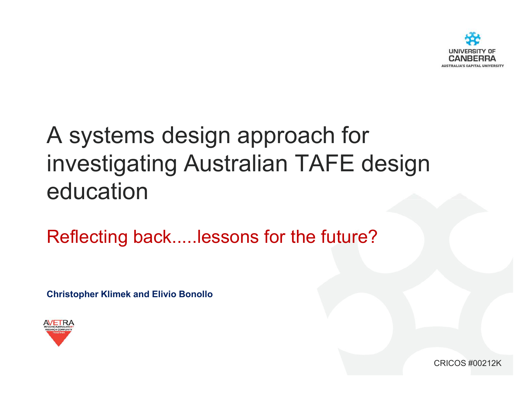

# A systems design approach for investigating Australian TAFE design education

Reflecting back.....lessons for the future?

Christopher Klimek and Elivio Bonollo



CRICOS #00212K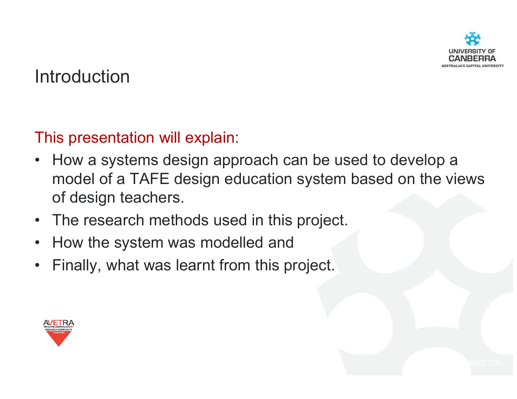

### **Introduction**

This presentation will explain:

- How a systems design approach can be used to develop a<br>example of a TAFF design advantion avatem based on the via model of a TAFE design education system based on the views of design teachers.
- The research methods used in this project.
- •How the system was modelled and
- •Finally, what was learnt from this project.

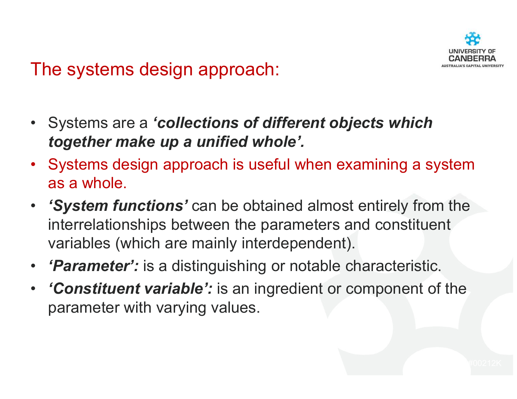

### The systems design approach:

- Systems are a 'collections of different objects which<br>to rether make un a unified whole' together make up a unified whole'.
- Systems design approach is useful when examining a system as a whole.
- 'System functions' can be obtained almost entirely from the interrelationships between the parameters and constituent variables (which are mainly interdependent).
- $\bullet$ **Parameter':** is a distinguishing or notable characteristic.
- 'Constituent variable': is an ingredient or component of the parameter with varying values.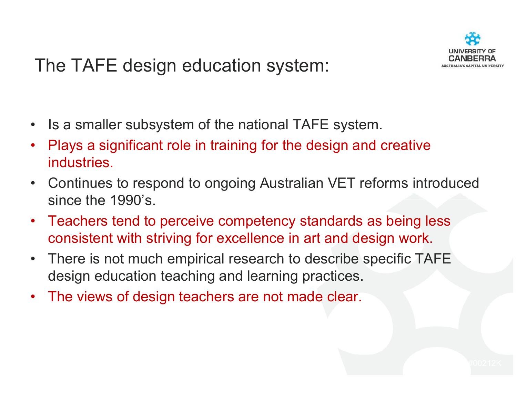

### The TAFE design education system:

- $\bullet$ Is a smaller subsystem of the national TAFE system.
- • Plays a significant role in training for the design and creative industries.
- $\bullet$  Continues to respond to ongoing Australian VET reforms introduced since the 1990's.
- $\bullet$  Teachers tend to perceive competency standards as being less consistent with striving for excellence in art and design work.
- • There is not much empirical research to describe specific TAFE design education teaching and learning practices.
- $\bullet$ The views of design teachers are not made clear.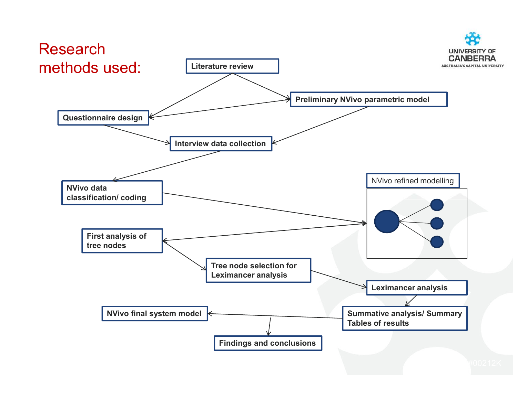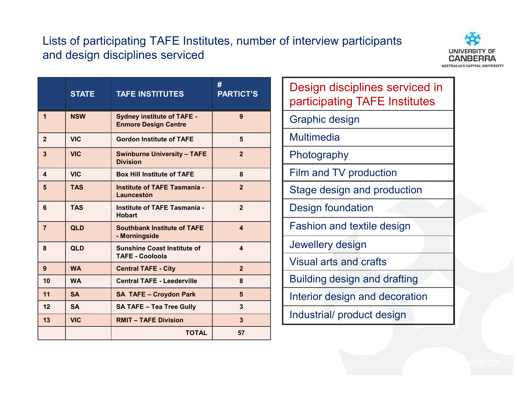#### Lists of participating TAFE Institutes, number of interview participants and design disciplines serviced



|                  | <b>STATE</b> | <b>TAFE INSTITUTES</b>                                           | #<br><b>PARTICT'S</b>  |
|------------------|--------------|------------------------------------------------------------------|------------------------|
| $\mathbf 1$      | <b>NSW</b>   | <b>Sydney institute of TAFE -</b><br><b>Enmore Design Centre</b> | 9                      |
| $\overline{2}$   | <b>VIC</b>   | <b>Gordon Institute of TAFE</b>                                  | 5                      |
| 3                | <b>VIC</b>   | <b>Swinburne University - TAFE</b><br><b>Division</b>            | $\overline{2}$         |
| $\blacktriangle$ | <b>VIC</b>   | <b>Box Hill Institute of TAFE</b>                                | 8                      |
| 5                | <b>TAS</b>   | <b>Institute of TAFE Tasmania -</b><br>Launceston                | $\overline{2}$         |
| 6                | <b>TAS</b>   | <b>Institute of TAFE Tasmania -</b><br><b>Hobart</b>             | $\overline{2}$         |
| $\overline{7}$   | <b>QLD</b>   | <b>Southbank Institute of TAFE</b><br>- Morningside              | $\boldsymbol{\Lambda}$ |
| 8                | <b>QLD</b>   | <b>Sunshine Coast Institute of</b><br><b>TAFE - Cooloola</b>     | $\blacktriangle$       |
| 9                | <b>WA</b>    | <b>Central TAFE - City</b>                                       | $\overline{2}$         |
| 10               | <b>WA</b>    | <b>Central TAFE - Leederville</b>                                | 8                      |
| 11               | <b>SA</b>    | <b>SA TAFE - Croydon Park</b>                                    | 5                      |
| 12               | <b>SA</b>    | <b>SA TAFE - Tea Tree Gully</b>                                  | 3                      |
| 13               | <b>VIC</b>   | <b>RMIT - TAFE Division</b>                                      | 3                      |
|                  |              | <b>TOTAL</b>                                                     | 57                     |

| Design disciplines serviced in<br>participating TAFE Institutes |  |  |  |  |
|-----------------------------------------------------------------|--|--|--|--|
| <b>Graphic design</b>                                           |  |  |  |  |
| <b>Multimedia</b>                                               |  |  |  |  |
| Photography                                                     |  |  |  |  |
| Film and TV production                                          |  |  |  |  |
| Stage design and production                                     |  |  |  |  |
| Design foundation                                               |  |  |  |  |
| <b>Fashion and textile design</b>                               |  |  |  |  |
| Jewellery design                                                |  |  |  |  |
| <b>Visual arts and crafts</b>                                   |  |  |  |  |
| Building design and drafting                                    |  |  |  |  |
| Interior design and decoration                                  |  |  |  |  |
| Industrial/ product design                                      |  |  |  |  |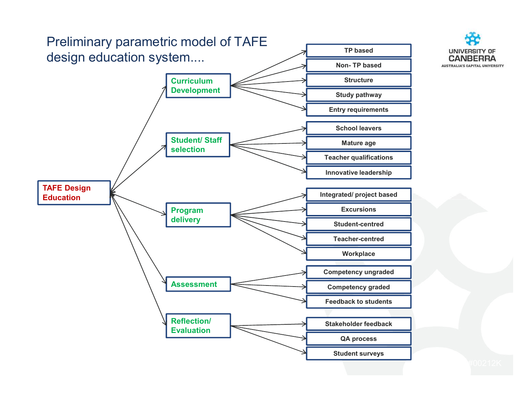

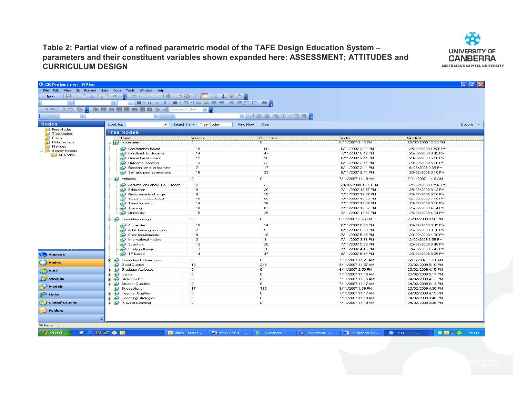#### Table 2: Partial view of a refined parametric model of the TAFE Design Education System – parameters and their constituent variables shown expanded here: ASSESSMENT; ATTITUDES and CURRICULUM DESIGN



| $=$ 1                     | ▼■▼B / U  ■▼ □→   事 事 理 目 律 律 注 注   熱 g |                        |                                        |                                          |                                          |  |
|---------------------------|-----------------------------------------|------------------------|----------------------------------------|------------------------------------------|------------------------------------------|--|
|                           |                                         | uni s                  |                                        |                                          |                                          |  |
| im.                       |                                         |                        | ■ …   診 垂   鴨 中 ×   雨 昂 <mark>。</mark> |                                          |                                          |  |
|                           | <b>Expertise Strip</b>                  |                        |                                        |                                          |                                          |  |
|                           | Look for:                               | Search In * Tree Nodes | Find Now Clear                         |                                          |                                          |  |
| Free Nodes                | <b>Tree Nodes</b>                       |                        |                                        |                                          |                                          |  |
| Tree Nodes                | Name                                    | Sources                | References                             | Created                                  | Modified                                 |  |
| <b>Relationships</b>      | Assessment                              | $\overline{0}$         | $\overline{0}$                         | 6/11/2007 2:42 PM                        | 25/02/2009 12:38 PM                      |  |
| <b>Matrices</b>           | Competency based                        | 18                     | 90                                     | 6/11/2007 2:44 PM                        | 25/02/2009 12:36 PM                      |  |
| Search Folders            | Feedback to students                    | 14                     | 47                                     | 7/11/2007 8:42 PM                        | 25/02/2009 3:49 PM                       |  |
| All Nodes                 | <b>S</b> Graded assessment              | 12                     | 28                                     | 6/11/2007 2:44 PM                        | 20/02/2009 5:10 PM                       |  |
|                           | Outcome reporting                       | 13                     | 23                                     | 6/11/2007 2:44 PM                        | 20/02/2009 5:10 PM                       |  |
|                           | Recognition prior learning              | $\overline{7}$         | 17                                     | 6/11/2007 2:44 PM                        | 6/03/2009 2:38 PM                        |  |
|                           | Self and peer assessment                | 16                     | 29                                     | 6/11/2007 2:44 PM                        | 20/02/2009 5:10 PM                       |  |
|                           | <b>B</b> Attitudes                      | $\mathbf 0$            | 0                                      | 7/11/2007 11:19 AM                       | 7/11/2007 11:19 AM                       |  |
|                           |                                         |                        |                                        |                                          |                                          |  |
|                           | Assumptions about TAFE teach            | $\overline{c}$         | $\overline{2}$                         | 24/02/2009 12:43 PM                      | 24/02/2009 12:43 PM                      |  |
|                           | <b>SO</b> Education                     | $\bf{8}$               | 20                                     | 7/11/2007 12:57 PM                       | 25/02/2009 3:12 PM                       |  |
|                           | Resistance to change                    | э                      | 15<br>98                               | 7/11/2007 12:57 PM                       | 20/02/2009 5:10 PM                       |  |
|                           | Teacher's educ belief                   | 18<br>14               | 36                                     | 7/11/2007 12:58 PM<br>7/11/2007 12:57 PM | 25/02/2009 5:10 PM<br>20/02/2009 5:10 PM |  |
|                           | Teaching reform<br>Training             | 18                     | 82                                     | 7/11/2007 12:57 PM                       | 25/02/2009 4:04 PM                       |  |
|                           | University                              | 15                     | 35                                     | 7/11/2007 12:57 PM                       | 25/02/2009 4:04 PM                       |  |
|                           |                                         |                        |                                        |                                          |                                          |  |
|                           | <b>El SO</b> Curriculum design          | $\mathbf 0$            | $\overline{0}$                         | 6/11/2007 2:46 PM                        | 25/02/2009 3:58 PM                       |  |
|                           | Accredited                              | 10                     | 14                                     | 8/11/2007 6:38 PM                        | 25/02/2009 3:45 PM                       |  |
|                           | Adult learning principles               | $\overline{7}$         | 9                                      | 8/11/2007 6:30 PM                        | 25/02/2009 3:58 PM                       |  |
|                           | Entry requirements                      | $\mathsf{s}$           | 18                                     | 7/11/2007 5:45 PM                        | 20/02/2009 4:30 PM                       |  |
|                           | <b>S</b> International models           | $\overline{3}$         | $\overline{4}$                         | 7/11/2007 3:36 PM                        | 2/02/2009 3:56 PM                        |  |
|                           | Structure                               | 12                     | 20                                     | 7/11/2007 5:09 PM                        | 25/02/2009 3:48 PM                       |  |
|                           | Study pathways                          | 13                     | 36                                     | 7/11/2007 4:45 PM                        | 24/02/2009 5:41 PM                       |  |
| <b>Sources</b>            | <b>P</b> TP based                       | 14                     | 47                                     | 8/11/2007 6:37 PM                        | 25/02/2009 3:55 PM                       |  |
|                           | <b>Curriculum Determinants</b>          | $\sigma$               | $\sigma$                               | 7/11/2007 11:21 AM                       | 7/11/2007 11:21 AM                       |  |
|                           | <b>Good Quotes</b>                      | 15                     | 248                                    | 8/11/2007 11:57 AM                       | 20/02/2009 5:10 PM                       |  |
|                           | <b>E Solution</b> Graduate Attributes   | $\mathbf 0$            | $\overline{0}$                         | 6/11/2007 2:50 PM                        | 25/02/2009 4:15 PM                       |  |
|                           | <b>E</b> 8 Issues                       | 0                      | 0                                      | 7/11/2007 11:16 AM                       | 25/02/2009 5:17 PM                       |  |
| Queries                   | Stakeholders                            | $\Omega$               | $\sigma$                               | 7/11/2007 11:15 AM                       | 24/02/2009 4:17 PM                       |  |
|                           | Student Qualities                       | $\mathbf 0$            | $\mathbf 0$                            | 7/11/2007 11:17 AM                       | 24/02/2009 6:13 PM                       |  |
|                           | Suggestions                             | 17                     | 135                                    | 8/11/2007 1:39 PM                        | 25/02/2009 4:30 PM                       |  |
|                           | <b>ED</b> Teacher Qualities             | $\Omega$               | $\mathbf{0}$                           | 7/11/2007 11:17 AM                       | 24/02/2009 4:15 PM                       |  |
|                           | <b>EDIT</b> Feaching Strategies         | $\theta$               | $\mathbf 0$                            | 7/11/2007 11:18 AM                       | 24/02/2009 3:40 PM                       |  |
| <b>Ay Classifications</b> | Ways of Learning                        | $\Omega$               | $^{\circ}$                             | 7/11/2007 11:19 AM                       | 24/02/2009 3:36 PM                       |  |
| Folders                   |                                         |                        |                                        |                                          |                                          |  |
|                           |                                         |                        |                                        |                                          |                                          |  |
|                           |                                         |                        |                                        |                                          |                                          |  |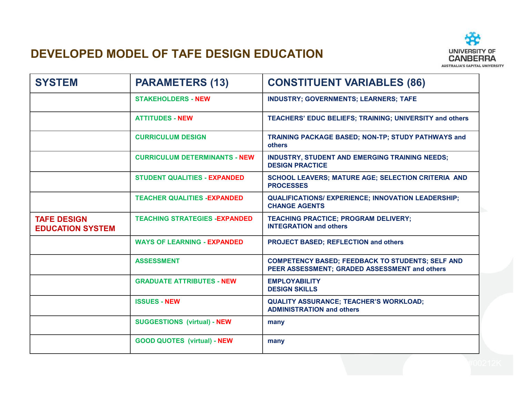#### DEVELOPED MODEL OF TAFE DESIGN EDUCATION



| <b>SYSTEM</b>                                 | <b>PARAMETERS (13)</b>                | <b>CONSTITUENT VARIABLES (86)</b>                                                                        |
|-----------------------------------------------|---------------------------------------|----------------------------------------------------------------------------------------------------------|
|                                               | <b>STAKEHOLDERS - NEW</b>             | <b>INDUSTRY; GOVERNMENTS; LEARNERS; TAFE</b>                                                             |
|                                               | <b>ATTITUDES - NEW</b>                | <b>TEACHERS' EDUC BELIEFS; TRAINING; UNIVERSITY and others</b>                                           |
|                                               | <b>CURRICULUM DESIGN</b>              | TRAINING PACKAGE BASED; NON-TP; STUDY PATHWAYS and<br><b>others</b>                                      |
|                                               | <b>CURRICULUM DETERMINANTS - NEW</b>  | <b>INDUSTRY, STUDENT AND EMERGING TRAINING NEEDS;</b><br><b>DESIGN PRACTICE</b>                          |
|                                               | <b>STUDENT QUALITIES - EXPANDED</b>   | SCHOOL LEAVERS; MATURE AGE; SELECTION CRITERIA AND<br><b>PROCESSES</b>                                   |
|                                               | <b>TEACHER QUALITIES -EXPANDED</b>    | <b>QUALIFICATIONS/ EXPERIENCE; INNOVATION LEADERSHIP;</b><br><b>CHANGE AGENTS</b>                        |
| <b>TAFE DESIGN</b><br><b>EDUCATION SYSTEM</b> | <b>TEACHING STRATEGIES - EXPANDED</b> | <b>TEACHING PRACTICE; PROGRAM DELIVERY;</b><br><b>INTEGRATION and others</b>                             |
|                                               | <b>WAYS OF LEARNING - EXPANDED</b>    | <b>PROJECT BASED; REFLECTION and others</b>                                                              |
|                                               | <b>ASSESSMENT</b>                     | <b>COMPETENCY BASED; FEEDBACK TO STUDENTS; SELF AND</b><br>PEER ASSESSMENT; GRADED ASSESSMENT and others |
|                                               | <b>GRADUATE ATTRIBUTES - NEW</b>      | <b>EMPLOYABILITY</b><br><b>DESIGN SKILLS</b>                                                             |
|                                               | <b>ISSUES - NEW</b>                   | <b>QUALITY ASSURANCE; TEACHER'S WORKLOAD;</b><br><b>ADMINISTRATION and others</b>                        |
|                                               | <b>SUGGESTIONS (virtual) - NEW</b>    | many                                                                                                     |
|                                               | <b>GOOD QUOTES (virtual) - NEW</b>    | many                                                                                                     |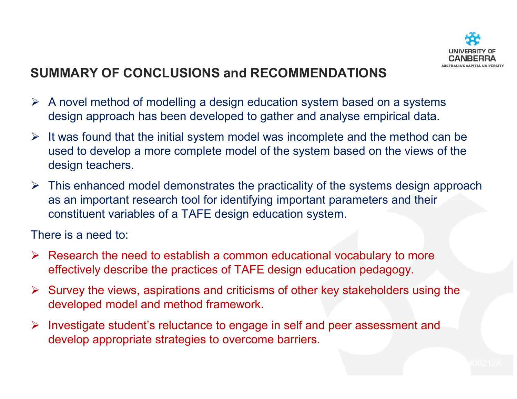

#### SUMMARY OF CONCLUSIONS and RECOMMENDATIONS

- $\triangleright$  A novel method of modelling a design education system based on a systems design energy details. design approach has been developed to gather and analyse empirical data.
- It was found that the initial system model was incomplete and the method can be  $\frac{1}{2}$ used to develop a more complete model of the system based on the views of the design teachers.
- $\triangleright$  This enhanced model demonstrates the practicality of the systems design approach  $\triangleright$  as impactent research tool for identifying impactent persystems and their as an important research tool for identifying important parameters and their constituent variables of a TAFE design education system.

There is a need to:

- Research the need to establish a common educational vocabulary to more effectively describe the practices of TAFE design education pedagogy.
- Survey the views, aspirations and criticisms of other key stakeholders using the  $\epsilon$ developed model and method framework.
- Investigate student's reluctance to engage in self and peer assessment and<br>develop enargetiste etretogies to evereems berriers develop appropriate strategies to overcome barriers.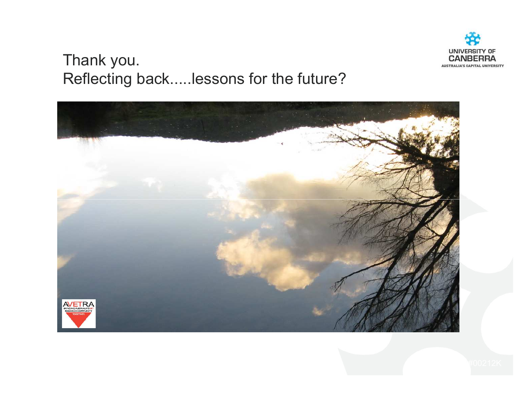

#### Thank you.Reflecting back.....lessons for the future?

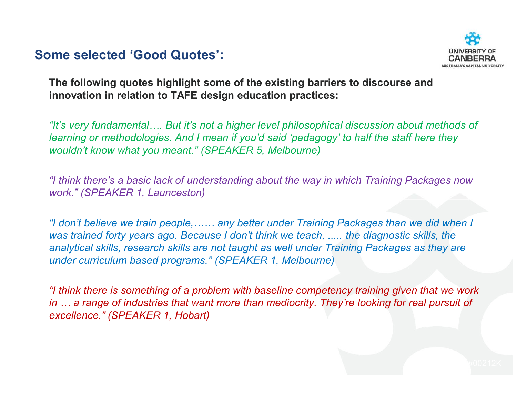#### Some selected 'Good Quotes':



The following quotes highlight some of the existing barriers to discourse and innovation in relation to TAFE design education practices:

"It's very fundamental…. But it's not a higher level philosophical discussion about methods of learning or methodologies. And I mean if you'd said 'pedagogy' to half the staff here they wouldn't know what you meant." (SPEAKER 5, Melbourne)

"I think there's a basic lack of understanding about the way in which Training Packages now work." (SPEAKER 1, Launceston)

"I don't believe we train people,…… any better under Training Packages than we did when I was trained forty years ago. Because I don't think we teach, ..... the diagnostic skills, the analytical skills, research skills are not taught as well under Training Packages as they are under curriculum based programs." (SPEAKER 1, Melbourne)

"I think there is something of a problem with baseline competency training given that we work in … a range of industries that want more than mediocrity. They're looking for real pursuit of excellence." (SPEAKER 1, Hobart)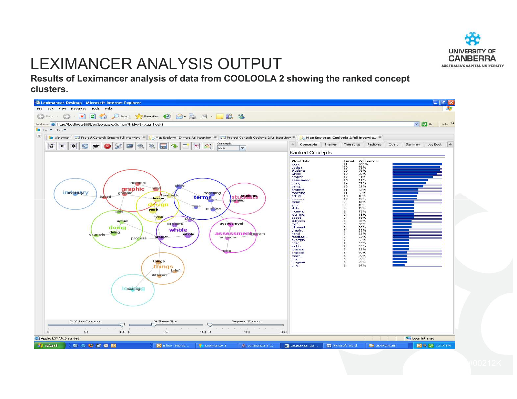

### LEXIMANCER ANALYSIS OUTPUT

 Results of Leximancer analysis of data from COOLOOLA 2 showing the ranked concept clusters.

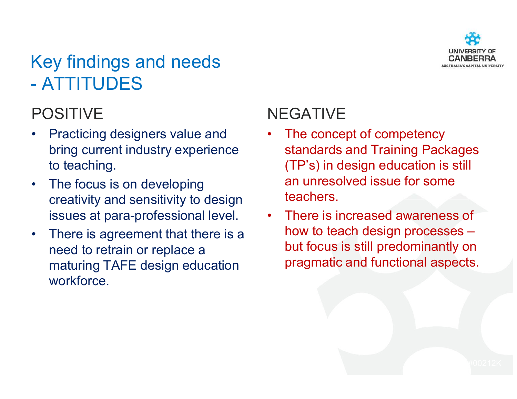

#### Key findings and needs  $\mathcal{L}_{\mathcal{A}}$ ATTITUDES

### POSITIVE

- **Practicing designers value and** •bring current industry experience to teaching.
- $\bullet$  The focus is on developing creativity and sensitivity to design issues at para-professional level.
- • There is agreement that there is a need to retrain or replace a maturing TAFE design education workforce.

### NEGATIVE

- The concept of competency •standards and Training Packages (TP's) in design education is still an unresolved issue for some teachers.
- • There is increased awareness of how to teach design processes – but focus is still predominantly on pragmatic and functional aspects.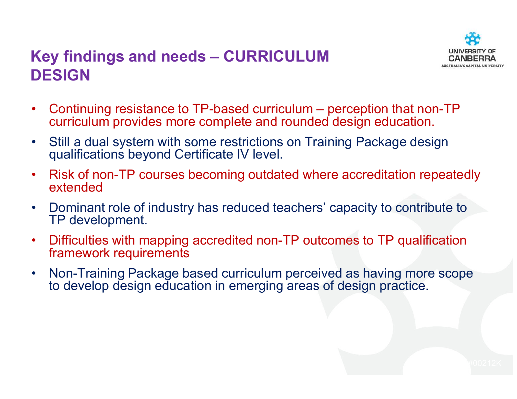#### Key findings and needs – CURRICULUM DESIGN



- • Continuing resistance to TP-based curriculum – perception that non-TP curriculum provides more complete and rounded design education.
- $\bullet$  Still a dual system with some restrictions on Training Package design qualifications beyond Certificate IV level.
- $\bullet$  Risk of non-TP courses becoming outdated where accreditation repeatedly extended
- $\bullet$  Dominant role of industry has reduced teachers' capacity to contribute to TP development.
- $\bullet$  Difficulties with mapping accredited non-TP outcomes to TP qualification framework requirements
- • Non-Training Package based curriculum perceived as having more scope to develop design education in emerging areas of design practice.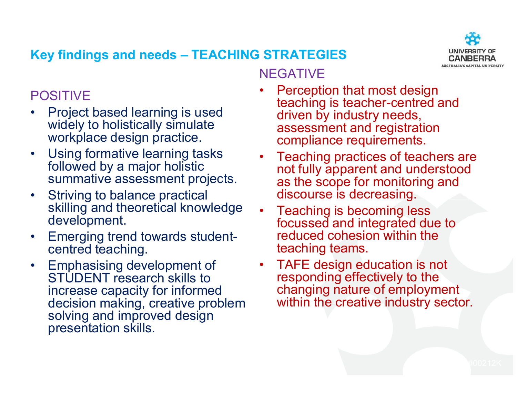

#### Key findings and needs – TEACHING STRATEGIES

#### POSITIVE

- Project based learning is used<br>widely to bolistically simulate  $\bullet$ widely to holistically simulate workplace design practice.
- $\bullet$  Using formative learning tasks followed by a major holistic summative assessment projects.
- $\bullet$  Striving to balance practical skilling and theoretical knowledge development.
- • Emerging trend towards studentcentred teaching.
- $\bullet$  Emphasising development of STUDENT research skills to increase capacity for informed decision making, creative problem solving and improved design presentation skills.

#### NEGATIVE

- **Perception that most design<br>teaching is teacher-centred a** •teaching is teacher-centred and driven by industry needs, assessment and registration compliance requirements.
- • Teaching practices of teachers are not fully apparent and understood as the scope for monitoring and discourse is decreasing.
- • Teaching is becoming less focussed and integrated due to reduced cohesion within the teaching teams.
- • TAFE design education is not responding effectively to the changing nature of employment within the creative industry sector.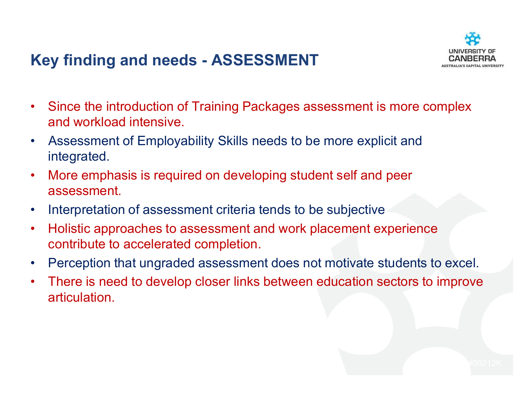### Key finding and needs - ASSESSMENT



- • Since the introduction of Training Packages assessment is more complex and workload intensive.
- • Assessment of Employability Skills needs to be more explicit and integrated.
- • More emphasis is required on developing student self and peer assessment.
- $\bullet$ Interpretation of assessment criteria tends to be subjective
- • Holistic approaches to assessment and work placement experience contribute to accelerated completion.
- $\bullet$ Perception that ungraded assessment does not motivate students to excel.
- • There is need to develop closer links between education sectors to improve articulation.